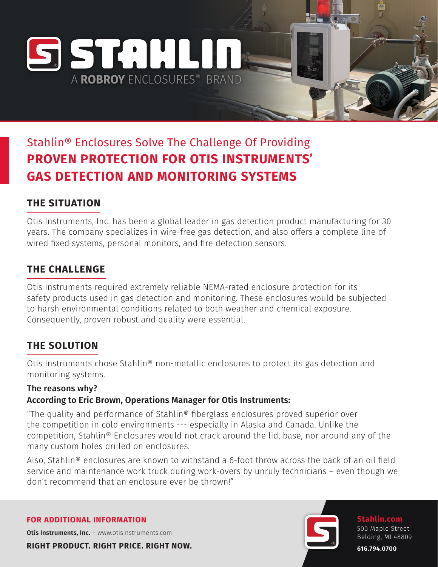# Stahlin® Enclosures Solve The Challenge Of Providing **PROVEN PROTECTION FOR OTIS INSTRUMENTS' GAS DETECTION AND MONITORING SYSTEMS**

A ROBROY FNCLOSURES® BRAND

SSTAHLIN

## **THE SITUATION**

Otis Instruments, Inc. has been a global leader in gas detection product manufacturing for 30 years. The company specializes in wire-free gas detection, and also offers a complete line of wired fixed systems, personal monitors, and fire detection sensors.

### **THE CHALLENGE**

Otis Instruments required extremely reliable NEMA-rated enclosure protection for its safety products used in gas detection and monitoring. These enclosures would be subjected to harsh environmental conditions related to both weather and chemical exposure. Consequently, proven robust and quality were essential.

### **THE SOLUTION**

Otis Instruments chose Stahlin® non-metallic enclosures to protect its gas detection and monitoring systems.

### The reasons why?

### **According to Eric Brown, Operations Manager for Otis Instruments:**

"The quality and performance of Stahlin® fiberglass enclosures proved superior over the competition in cold environments --- especially in Alaska and Canada. Unlike the competition, Stahlin® Enclosures would not crack around the lid, base, nor around any of the many custom holes drilled on enclosures.

Also, Stahlin® enclosures are known to withstand a 6-foot throw across the back of an oil field service and maintenance work truck during work-overs by unruly technicians – even though we don't recommend that an enclosure ever be thrown!"

#### **FOR ADDITIONAL INFORMATION**

**Otis Instruments, Inc.** - www.otisinstruments.com

**RIGHT PRODUCT. RIGHT PRICE. RIGHT NOW.**



**Stahlin.com** 500 Maple Street Belding, MI 48809

**616.794.0700**